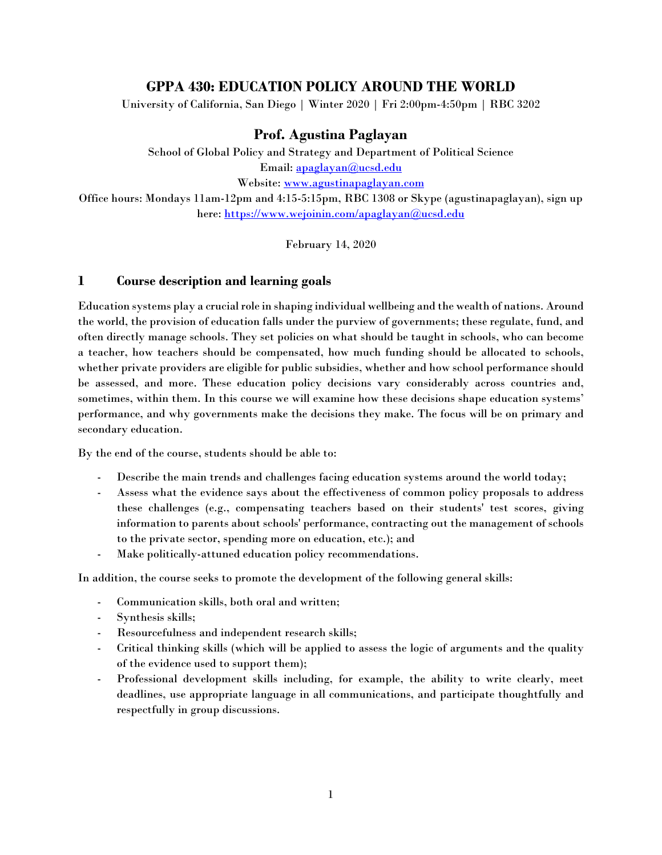# **GPPA 430: EDUCATION POLICY AROUND THE WORLD**

University of California, San Diego | Winter 2020 | Fri 2:00pm-4:50pm | RBC 3202

## **Prof. Agustina Paglayan**

School of Global Policy and Strategy and Department of Political Science Email: [apaglayan@ucsd.edu](mailto:apaglayan@ucsd.edu) Website: [www.agustinapaglayan.com](http://www.agustinapaglayan.com/) Office hours: Mondays 11am-12pm and 4:15-5:15pm, RBC 1308 or Skype (agustinapaglayan), sign up

here:<https://www.wejoinin.com/apaglayan@ucsd.edu>

February 14, 2020

## **1 Course description and learning goals**

Education systems play a crucial role in shaping individual wellbeing and the wealth of nations. Around the world, the provision of education falls under the purview of governments; these regulate, fund, and often directly manage schools. They set policies on what should be taught in schools, who can become a teacher, how teachers should be compensated, how much funding should be allocated to schools, whether private providers are eligible for public subsidies, whether and how school performance should be assessed, and more. These education policy decisions vary considerably across countries and, sometimes, within them. In this course we will examine how these decisions shape education systems' performance, and why governments make the decisions they make. The focus will be on primary and secondary education.

By the end of the course, students should be able to:

- Describe the main trends and challenges facing education systems around the world today;
- Assess what the evidence says about the effectiveness of common policy proposals to address these challenges (e.g., compensating teachers based on their students' test scores, giving information to parents about schools' performance, contracting out the management of schools to the private sector, spending more on education, etc.); and
- Make politically-attuned education policy recommendations.

In addition, the course seeks to promote the development of the following general skills:

- Communication skills, both oral and written;
- Synthesis skills;
- Resourcefulness and independent research skills;
- Critical thinking skills (which will be applied to assess the logic of arguments and the quality of the evidence used to support them);
- Professional development skills including, for example, the ability to write clearly, meet deadlines, use appropriate language in all communications, and participate thoughtfully and respectfully in group discussions.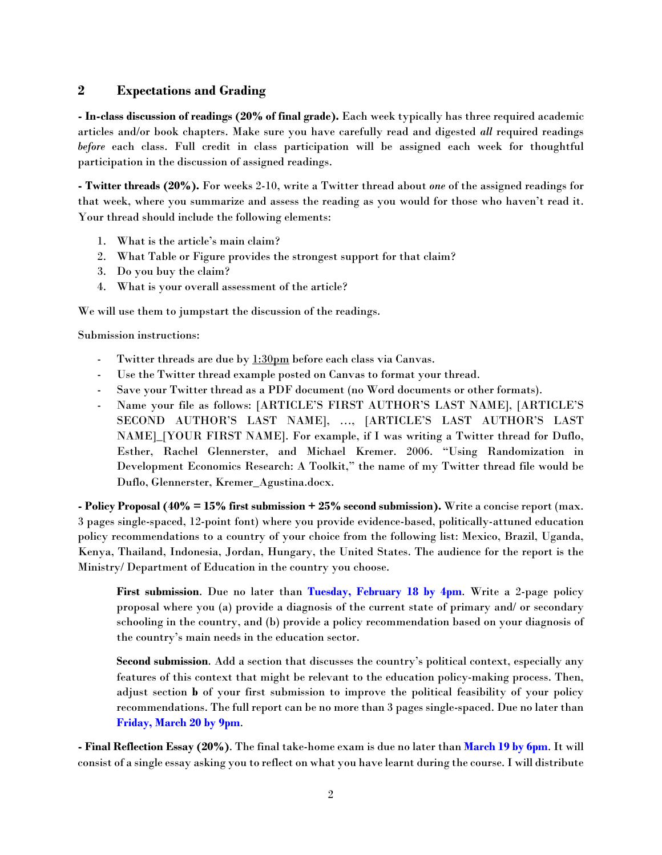## **2 Expectations and Grading**

**- In-class discussion of readings (20% of final grade).** Each week typically has three required academic articles and/or book chapters. Make sure you have carefully read and digested *all* required readings *before* each class. Full credit in class participation will be assigned each week for thoughtful participation in the discussion of assigned readings.

**- Twitter threads (20%).** For weeks 2-10, write a Twitter thread about *one* of the assigned readings for that week, where you summarize and assess the reading as you would for those who haven't read it. Your thread should include the following elements:

- 1. What is the article's main claim?
- 2. What Table or Figure provides the strongest support for that claim?
- 3. Do you buy the claim?
- 4. What is your overall assessment of the article?

We will use them to jumpstart the discussion of the readings.

Submission instructions:

- Twitter threads are due by 1:30pm before each class via Canvas.
- Use the Twitter thread example posted on Canvas to format your thread.
- Save your Twitter thread as a PDF document (no Word documents or other formats).
- Name your file as follows: [ARTICLE'S FIRST AUTHOR'S LAST NAME], [ARTICLE'S SECOND AUTHOR'S LAST NAME], …, [ARTICLE'S LAST AUTHOR'S LAST NAME]\_[YOUR FIRST NAME]. For example, if I was writing a Twitter thread for Duflo, Esther, Rachel Glennerster, and Michael Kremer. 2006. "Using Randomization in Development Economics Research: A Toolkit," the name of my Twitter thread file would be Duflo, Glennerster, Kremer\_Agustina.docx.

**- Policy Proposal (40% = 15% first submission + 25% second submission).** Write a concise report (max. 3 pages single-spaced, 12-point font) where you provide evidence-based, politically-attuned education policy recommendations to a country of your choice from the following list: Mexico, Brazil, Uganda, Kenya, Thailand, Indonesia, Jordan, Hungary, the United States. The audience for the report is the Ministry/ Department of Education in the country you choose.

**First submission**. Due no later than **Tuesday, February 18 by 4pm**. Write a 2-page policy proposal where you (a) provide a diagnosis of the current state of primary and/ or secondary schooling in the country, and (b) provide a policy recommendation based on your diagnosis of the country's main needs in the education sector.

**Second submission**. Add a section that discusses the country's political context, especially any features of this context that might be relevant to the education policy-making process. Then, adjust section **b** of your first submission to improve the political feasibility of your policy recommendations. The full report can be no more than 3 pages single-spaced. Due no later than **Friday, March 20 by 9pm**.

**- Final Reflection Essay (20%)**. The final take-home exam is due no later than **March 19 by 6pm**. It will consist of a single essay asking you to reflect on what you have learnt during the course. I will distribute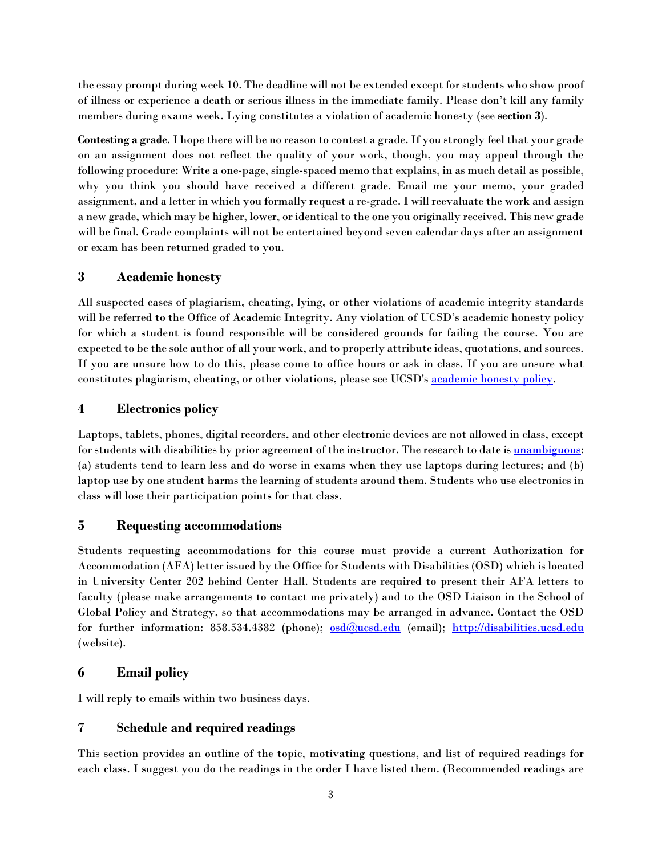the essay prompt during week 10. The deadline will not be extended except for students who show proof of illness or experience a death or serious illness in the immediate family. Please don't kill any family members during exams week. Lying constitutes a violation of academic honesty (see **section 3**).

**Contesting a grade**. I hope there will be no reason to contest a grade. If you strongly feel that your grade on an assignment does not reflect the quality of your work, though, you may appeal through the following procedure: Write a one-page, single-spaced memo that explains, in as much detail as possible, why you think you should have received a different grade. Email me your memo, your graded assignment, and a letter in which you formally request a re-grade. I will reevaluate the work and assign a new grade, which may be higher, lower, or identical to the one you originally received. This new grade will be final. Grade complaints will not be entertained beyond seven calendar days after an assignment or exam has been returned graded to you.

## **3 Academic honesty**

All suspected cases of plagiarism, cheating, lying, or other violations of academic integrity standards will be referred to the Office of Academic Integrity. Any violation of UCSD's academic honesty policy for which a student is found responsible will be considered grounds for failing the course. You are expected to be the sole author of all your work, and to properly attribute ideas, quotations, and sources. If you are unsure how to do this, please come to office hours or ask in class. If you are unsure what constitutes plagiarism, cheating, or other violations, please see UCSD's [academic honesty policy.](http://academicintegrity.ucsd.edu/)

# **4 Electronics policy**

Laptops, tablets, phones, digital recorders, and other electronic devices are not allowed in class, except for students with disabilities by prior agreement of the instructor. The research to date is [unambiguous:](https://www.nytimes.com/2017/11/22/business/laptops-not-during-lecture-or-meeting.html) (a) students tend to learn less and do worse in exams when they use laptops during lectures; and (b) laptop use by one student harms the learning of students around them. Students who use electronics in class will lose their participation points for that class.

## **5 Requesting accommodations**

Students requesting accommodations for this course must provide a current Authorization for Accommodation (AFA) letter issued by the Office for Students with Disabilities (OSD) which is located in University Center 202 behind Center Hall. Students are required to present their AFA letters to faculty (please make arrangements to contact me privately) and to the OSD Liaison in the School of Global Policy and Strategy, so that accommodations may be arranged in advance. Contact the OSD for further information: 858.534.4382 (phone); [osd@ucsd.edu](mailto:osd@ucsd.edu) (email); [http://disabilities.ucsd.edu](http://disabilities.ucsd.edu/) (website).

# **6 Email policy**

I will reply to emails within two business days.

## **7 Schedule and required readings**

This section provides an outline of the topic, motivating questions, and list of required readings for each class. I suggest you do the readings in the order I have listed them. (Recommended readings are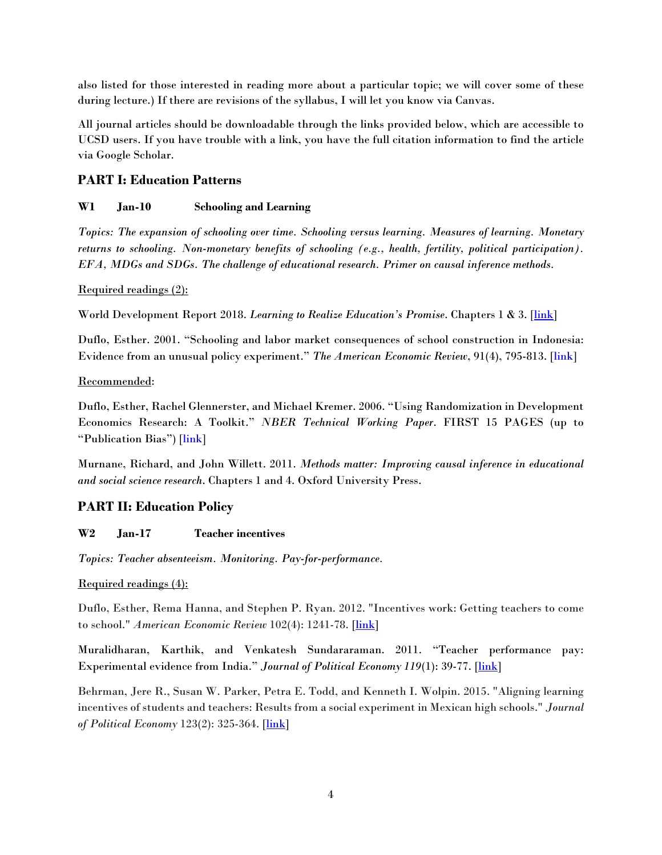also listed for those interested in reading more about a particular topic; we will cover some of these during lecture.) If there are revisions of the syllabus, I will let you know via Canvas.

All journal articles should be downloadable through the links provided below, which are accessible to UCSD users. If you have trouble with a link, you have the full citation information to find the article via Google Scholar.

## **PART I: Education Patterns**

## **W1 Jan-10 Schooling and Learning**

*Topics: The expansion of schooling over time. Schooling versus learning. Measures of learning. Monetary returns to schooling. Non-monetary benefits of schooling (e.g., health, fertility, political participation). EFA, MDGs and SDGs. The challenge of educational research. Primer on causal inference methods.*

## Required readings (2):

World Development Report 2018. *Learning to Realize Education's Promise*. Chapters 1 & 3. [\[link\]](https://www.worldbank.org/en/publication/wdr2018)

Duflo, Esther. 2001. "Schooling and labor market consequences of school construction in Indonesia: Evidence from an unusual policy experiment." *The American Economic Review*, 91(4), 795-813. [link]

## Recommended:

Duflo, Esther, Rachel Glennerster, and Michael Kremer. 2006. "Using Randomization in Development Economics Research: A Toolkit." *NBER Technical Working Paper*. FIRST 15 PAGES (up to "Publication Bias") [link]

Murnane, Richard, and John Willett. 2011. *Methods matter: Improving causal inference in educational and social science research*. Chapters 1 and 4. Oxford University Press.

## **PART II: Education Policy**

## **W2 Jan-17 Teacher incentives**

*Topics: Teacher absenteeism. Monitoring. Pay-for-performance.* 

## Required readings (4):

Duflo, Esther, Rema Hanna, and Stephen P. Ryan. 2012. "Incentives work: Getting teachers to come to school." *American Economic Review* 102(4): 1241-78. [\[link\]](https://www.aeaweb.org/articles?id=10.1257/aer.102.4.1241)

Muralidharan, Karthik, and Venkatesh Sundararaman. 2011. "Teacher performance pay: Experimental evidence from India." *Journal of Political Economy 119*(1): 39-77. [\[link\]](https://www.journals.uchicago.edu/doi/abs/10.1086/659655)

Behrman, Jere R., Susan W. Parker, Petra E. Todd, and Kenneth I. Wolpin. 2015. "Aligning learning incentives of students and teachers: Results from a social experiment in Mexican high schools." *Journal of Political Economy* 123(2): 325-364. [\[link\]](https://www.journals.uchicago.edu/doi/abs/10.1086/675910)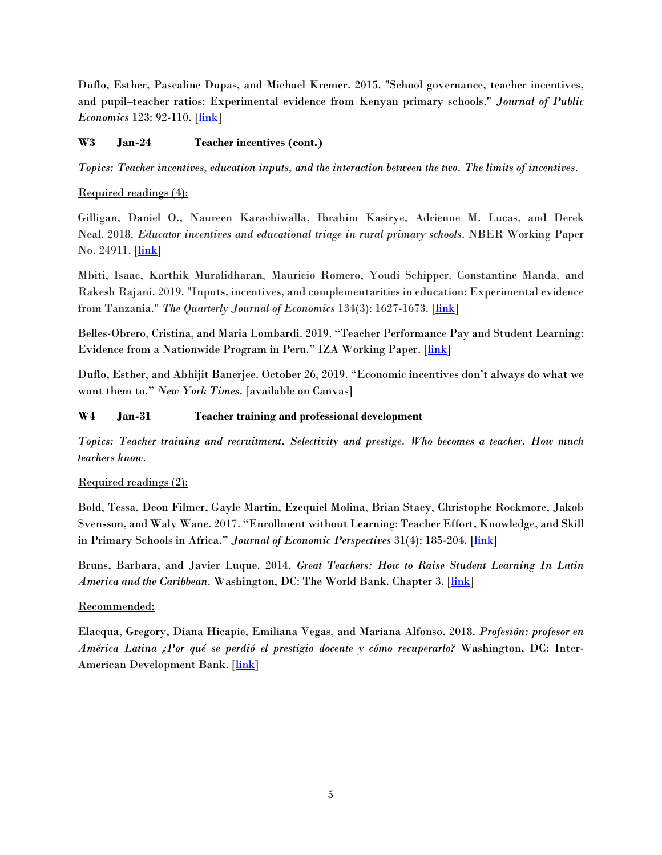Duflo, Esther, Pascaline Dupas, and Michael Kremer. 2015. "School governance, teacher incentives, and pupil–teacher ratios: Experimental evidence from Kenyan primary schools." *Journal of Public Economics* 123: 92-110. [*link*]

## **W3 Jan-24 Teacher incentives (cont.)**

*Topics: Teacher incentives, education inputs, and the interaction between the two. The limits of incentives.*

### Required readings (4):

Gilligan, Daniel O., Naureen Karachiwalla, Ibrahim Kasirye, Adrienne M. Lucas, and Derek Neal. 2018. *Educator incentives and educational triage in rural primary schools*. NBER Working Paper No. 24911. [*link*]

Mbiti, Isaac, Karthik Muralidharan, Mauricio Romero, Youdi Schipper, Constantine Manda, and Rakesh Rajani. 2019. "Inputs, incentives, and complementarities in education: Experimental evidence from Tanzania." *The Quarterly Journal of Economics* 134(3): 1627-1673. [\[link\]](https://academic.oup.com/qje/article/134/3/1627/5479257)

Belles-Obrero, Cristina, and Maria Lombardi. 2019. "Teacher Performance Pay and Student Learning: Evidence from a Nationwide Program in Peru." IZA Working Paper. [\[link\]](https://papers.ssrn.com/sol3/papers.cfm?abstract_id=3457644)

Duflo, Esther, and Abhijit Banerjee. October 26, 2019. "Economic incentives don't always do what we want them to." *New York Times*. [available on Canvas]

#### **W4 Jan-31 Teacher training and professional development**

*Topics: Teacher training and recruitment. Selectivity and prestige. Who becomes a teacher. How much teachers know.*

## Required readings (2):

Bold, Tessa, Deon Filmer, Gayle Martin, Ezequiel Molina, Brian Stacy, Christophe Rockmore, Jakob Svensson, and Waly Wane. 2017. "Enrollment without Learning: Teacher Effort, Knowledge, and Skill in Primary Schools in Africa." *Journal of Economic Perspectives* 31(4): 185-204. [\[link\]](https://www.tessabold.com/uploads/7/0/1/0/70101685/jep.31.4.185.pdf)

Bruns, Barbara, and Javier Luque. 2014. *Great Teachers: How to Raise Student Learning In Latin America and the Caribbean.* Washington, DC: The World Bank. Chapter 3. [\[link\]](https://www.worldbank.org/content/dam/Worldbank/document/LAC/Great_Teachers-How_to_Raise_Student_Learning-Barbara-Bruns-Advance%20Edition.pdf)

#### Recommended:

Elacqua, Gregory, Diana Hicapie, Emiliana Vegas, and Mariana Alfonso. 2018. *Profesión: profesor en América Latina ¿Por qué se perdió el prestigio docente y cómo recuperarlo?* Washington, DC: Inter-American Development Bank. [\[link\]](https://publications.iadb.org/publications/spanish/document/Profesi%C3%B3n-Profesor-en-Am%C3%A9rica-Latina-Por-qu%C3%A9-se-perdi%C3%B3-el-prestigio-docente-y-c%C3%B3mo-recuperarlo.pdf)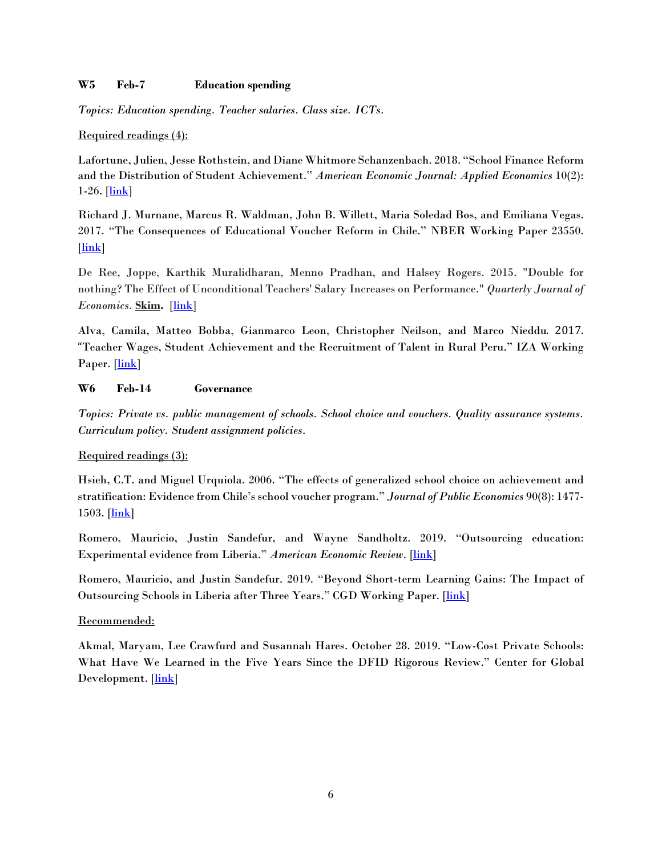#### **W5 Feb-7 Education spending**

*Topics: Education spending. Teacher salaries. Class size. ICTs.*

#### Required readings (4):

Lafortune, Julien, Jesse Rothstein, and Diane Whitmore Schanzenbach. 2018. "School Finance Reform and the Distribution of Student Achievement." *American Economic Journal: Applied Economics* 10(2):  $1-26.$  [ $\ln k$ ]

Richard J. Murnane, Marcus R. Waldman, John B. Willett, Maria Soledad Bos, and Emiliana Vegas. 2017. "The Consequences of Educational Voucher Reform in Chile." NBER Working Paper 23550. [\[link\]](https://www.nber.org/papers/w23550.pdf)

De Ree, Joppe, Karthik Muralidharan, Menno Pradhan, and Halsey Rogers. 2015. "Double for nothing? The Effect of Unconditional Teachers' Salary Increases on Performance." *Quarterly Journal of Economics*. **Skim.** [\[link\]](https://academic.oup.com/qje/article-abstract/133/2/993/4622956?redirectedFrom=fulltext)

Alva, Camila, Matteo Bobba, Gianmarco Leon, Christopher Neilson, and Marco Nieddu. 2017. "Teacher Wages, Student Achievement and the Recruitment of Talent in Rural Peru." IZA Working Paper. [\[link\]](http://conference.iza.org/conference_files/EcoEdu_2017/nieddu_m25645.pdf)

## **W6 Feb-14 Governance**

*Topics: Private vs. public management of schools. School choice and vouchers. Quality assurance systems. Curriculum policy. Student assignment policies.*

## Required readings (3):

Hsieh, C.T. and Miguel Urquiola. 2006. "The effects of generalized school choice on achievement and stratification: Evidence from Chile's school voucher program." *Journal of Public Economics* 90(8): 1477-  $1503.$  [ $\ln k$ ]

Romero, Mauricio, Justin Sandefur, and Wayne Sandholtz. 2019. "Outsourcing education: Experimental evidence from Liberia." *American Economic Review*. [\[link\]](http://mauricio-romero.com/pdfs/papers/PSL_Final.pdf)

Romero, Mauricio, and Justin Sandefur. 2019. "Beyond Short-term Learning Gains: The Impact of Outsourcing Schools in Liberia after Three Years." CGD Working Paper. [\[link\]](https://www.cgdev.org/sites/default/files/beyond-short-term-learning-gains-impact-outsourcing-schools-liberia-after-three-years.pdf)

## Recommended:

Akmal, Maryam, Lee Crawfurd and Susannah Hares. October 28. 2019. "Low-Cost Private Schools: What Have We Learned in the Five Years Since the DFID Rigorous Review." Center for Global Development. [\[link\]](https://www.cgdev.org/blog/low-cost-private-schools-what-have-we-learned-five-years-dfid-rigorous-review)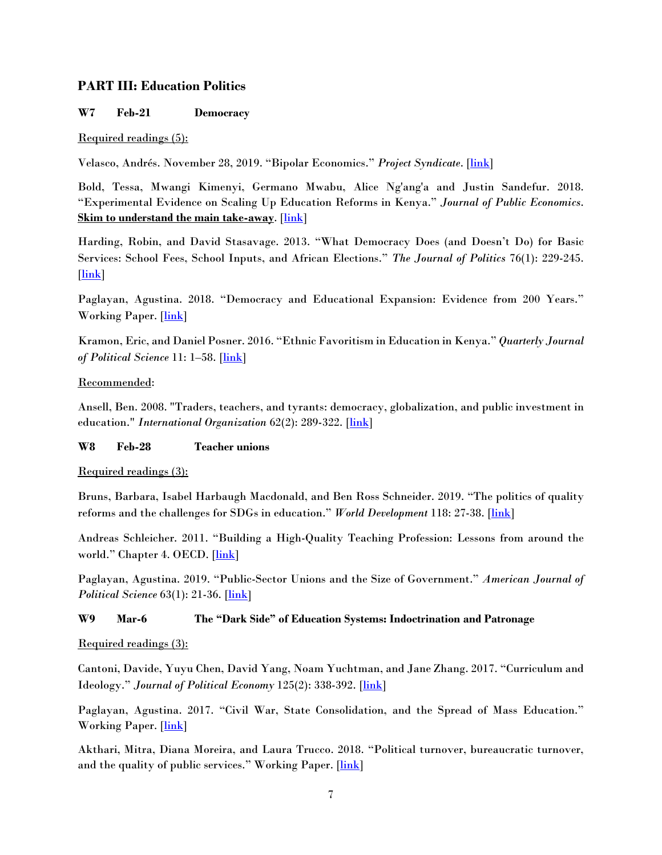## **PART III: Education Politics**

## **W7 Feb-21 Democracy**

## Required readings (5):

Velasco, Andrés. November 28, 2019. "Bipolar Economics." *Project Syndicate*. [\[link\]](https://www.project-syndicate.org/commentary/limits-of-randomized-controlled-economics-trials-by-andres-velasco-2019-11)

Bold, Tessa, Mwangi Kimenyi, Germano Mwabu, Alice Ng'ang'a and Justin Sandefur. 2018. "Experimental Evidence on Scaling Up Education Reforms in Kenya." *Journal of Public Economics*. **Skim to understand the main take-away**. [\[link\]](https://www.sciencedirect.com/science/article/abs/pii/S0047272718301518)

Harding, Robin, and David Stasavage. 2013. "What Democracy Does (and Doesn't Do) for Basic Services: School Fees, School Inputs, and African Elections." *The Journal of Politics* 76(1): 229-245. [\[link\]](https://www.journals.uchicago.edu/doi/abs/10.1017/S0022381613001254)

Paglayan, Agustina. 2018. "Democracy and Educational Expansion: Evidence from 200 Years." Working Paper. [\[link\]](https://www.dropbox.com/s/sdnsv9in5hj5w7o/Democracy%20and%20Educational%20Expansion_Paglayan_most%20recent.pdf?dl=0)

Kramon, Eric, and Daniel Posner. 2016. "Ethnic Favoritism in Education in Kenya." *Quarterly Journal of Political Science* 11: 1–58. [\[link\]](https://escholarship.org/content/qt0cr9c33q/qt0cr9c33q.pdf)

#### Recommended:

Ansell, Ben. 2008. "Traders, teachers, and tyrants: democracy, globalization, and public investment in education." *International Organization* 62(2): 289-322. [\[link\]](https://www.cambridge.org/core/journals/international-organization/article/traders-teachers-and-tyrants-democracy-globalization-and-public-investment-in-education/06D09D1243E4874B4778C12924993173)

## **W8 Feb-28 Teacher unions**

Required readings (3):

Bruns, Barbara, Isabel Harbaugh Macdonald, and Ben Ross Schneider. 2019. "The politics of quality reforms and the challenges for SDGs in education." *World Development* 118: 27-38. [\[link\]](https://projects.iq.harvard.edu/files/intgrpsedpolicy/files/10._schneider_1.pdf)

Andreas Schleicher. 2011. "Building a High-Quality Teaching Profession: Lessons from around the world." Chapter 4. OECD. [\[link\]](https://www.oecd-ilibrary.org/docserver/9789264113046-en.pdf?expires=1578271378&id=id&accname=guest&checksum=1E0ED310416086B0F6F46E0F2AF8B30F)

Paglayan, Agustina. 2019. "Public-Sector Unions and the Size of Government." *American Journal of Political Science* 63(1): 21-36. [\[link\]](https://docs.wixstatic.com/ugd/a763a0_3703edea889f4b19bd0686a293369b28.pdf)

#### **W9 Mar-6 The "Dark Side" of Education Systems: Indoctrination and Patronage**

Required readings (3):

Cantoni, Davide, Yuyu Chen, David Yang, Noam Yuchtman, and Jane Zhang. 2017. "Curriculum and Ideology." *Journal of Political Economy* 125(2): 338-392. [\[link\]](https://www.journals.uchicago.edu/doi/abs/10.1086/690951)

Paglayan, Agustina. 2017. "Civil War, State Consolidation, and the Spread of Mass Education." Working Paper. [\[link\]](https://docs.wixstatic.com/ugd/a763a0_98303806de7242e8b0db05431fca339e.pdf)

Akthari, Mitra, Diana Moreira, and Laura Trucco. 2018. "Political turnover, bureaucratic turnover, and the quality of public services." Working Paper. [\[link\]](https://dianamoreira.com/pdf/dm/Akhtari%20Moreira%20Trucco_updated.pdf)